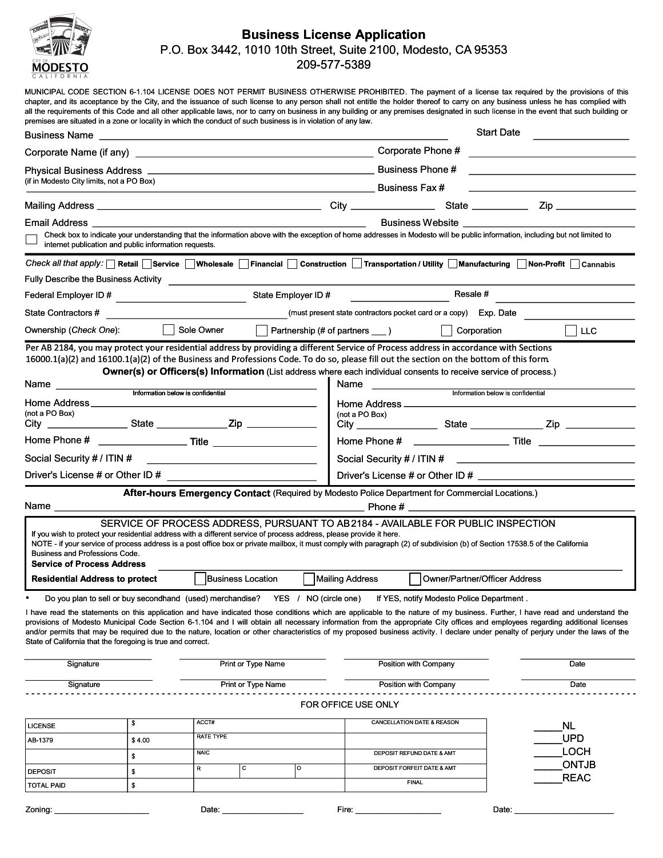

# Business License Application P.O. Box 3442, 1010 10th Street, Suite 2100, Modesto, CA 95353 209-577-5389

premises are situated in a zone or locality in which the conduct of such business is in violation of any law. MUNICIPAL CODE SECTION 6-1.104 LICENSE DOES NOT PERMIT BUSINESS OTHERWISE PROHIBITED. The payment of a license tax required by the provisions of this chapter, and its acceptance by the City, and the issuance of such license to any person shall not entitle the holder thereof to carry on any business unless he has complied with all the requirements of this Code and all other applicable laws, nor to carry on business in any building or any premises designated in such license in the event that such building or

|                                                                                                                                                                                                                                                                                                                                                                                                                                                                                                                                                                                                                                                                                                                                                                                                            |                                                       |                                                                                                                                                                              |                                                                                                                                                                                                                                                                                                                                                                                                                                                                                                                                                                                                                          | <b>Start Date</b>                  |                                           |                                                                                                                                                                                                                                                                                                                                                                                                                                                                                                                                                        |  |
|------------------------------------------------------------------------------------------------------------------------------------------------------------------------------------------------------------------------------------------------------------------------------------------------------------------------------------------------------------------------------------------------------------------------------------------------------------------------------------------------------------------------------------------------------------------------------------------------------------------------------------------------------------------------------------------------------------------------------------------------------------------------------------------------------------|-------------------------------------------------------|------------------------------------------------------------------------------------------------------------------------------------------------------------------------------|--------------------------------------------------------------------------------------------------------------------------------------------------------------------------------------------------------------------------------------------------------------------------------------------------------------------------------------------------------------------------------------------------------------------------------------------------------------------------------------------------------------------------------------------------------------------------------------------------------------------------|------------------------------------|-------------------------------------------|--------------------------------------------------------------------------------------------------------------------------------------------------------------------------------------------------------------------------------------------------------------------------------------------------------------------------------------------------------------------------------------------------------------------------------------------------------------------------------------------------------------------------------------------------------|--|
|                                                                                                                                                                                                                                                                                                                                                                                                                                                                                                                                                                                                                                                                                                                                                                                                            |                                                       |                                                                                                                                                                              | Corporate Phone #                                                                                                                                                                                                                                                                                                                                                                                                                                                                                                                                                                                                        |                                    |                                           |                                                                                                                                                                                                                                                                                                                                                                                                                                                                                                                                                        |  |
|                                                                                                                                                                                                                                                                                                                                                                                                                                                                                                                                                                                                                                                                                                                                                                                                            |                                                       |                                                                                                                                                                              |                                                                                                                                                                                                                                                                                                                                                                                                                                                                                                                                                                                                                          |                                    |                                           |                                                                                                                                                                                                                                                                                                                                                                                                                                                                                                                                                        |  |
| (if in Modesto City limits, not a PO Box)                                                                                                                                                                                                                                                                                                                                                                                                                                                                                                                                                                                                                                                                                                                                                                  |                                                       |                                                                                                                                                                              | <b>Example 2</b> Business Fax #                                                                                                                                                                                                                                                                                                                                                                                                                                                                                                                                                                                          |                                    |                                           |                                                                                                                                                                                                                                                                                                                                                                                                                                                                                                                                                        |  |
|                                                                                                                                                                                                                                                                                                                                                                                                                                                                                                                                                                                                                                                                                                                                                                                                            |                                                       |                                                                                                                                                                              |                                                                                                                                                                                                                                                                                                                                                                                                                                                                                                                                                                                                                          |                                    |                                           |                                                                                                                                                                                                                                                                                                                                                                                                                                                                                                                                                        |  |
| Email Address <b>compared to the Stru</b>                                                                                                                                                                                                                                                                                                                                                                                                                                                                                                                                                                                                                                                                                                                                                                  |                                                       |                                                                                                                                                                              |                                                                                                                                                                                                                                                                                                                                                                                                                                                                                                                                                                                                                          |                                    | Business Website                          |                                                                                                                                                                                                                                                                                                                                                                                                                                                                                                                                                        |  |
|                                                                                                                                                                                                                                                                                                                                                                                                                                                                                                                                                                                                                                                                                                                                                                                                            | internet publication and public information requests. | Check box to indicate your understanding that the information above with the exception of home addresses in Modesto will be public information, including but not limited to |                                                                                                                                                                                                                                                                                                                                                                                                                                                                                                                                                                                                                          |                                    |                                           |                                                                                                                                                                                                                                                                                                                                                                                                                                                                                                                                                        |  |
|                                                                                                                                                                                                                                                                                                                                                                                                                                                                                                                                                                                                                                                                                                                                                                                                            |                                                       |                                                                                                                                                                              |                                                                                                                                                                                                                                                                                                                                                                                                                                                                                                                                                                                                                          |                                    |                                           | Check all that apply: Retail Service Wholesale Financial Construction Transportation / Utility Manufacturing Non-Profit Cannabis                                                                                                                                                                                                                                                                                                                                                                                                                       |  |
|                                                                                                                                                                                                                                                                                                                                                                                                                                                                                                                                                                                                                                                                                                                                                                                                            |                                                       |                                                                                                                                                                              |                                                                                                                                                                                                                                                                                                                                                                                                                                                                                                                                                                                                                          |                                    |                                           |                                                                                                                                                                                                                                                                                                                                                                                                                                                                                                                                                        |  |
| State Employer ID #<br>Federal Employer ID # 2009 2009 2009 2009 2009 2009 2012 2023 2024 2024 2025 2026 2027 2028 2029 20                                                                                                                                                                                                                                                                                                                                                                                                                                                                                                                                                                                                                                                                                 |                                                       |                                                                                                                                                                              |                                                                                                                                                                                                                                                                                                                                                                                                                                                                                                                                                                                                                          | Resale #                           |                                           |                                                                                                                                                                                                                                                                                                                                                                                                                                                                                                                                                        |  |
|                                                                                                                                                                                                                                                                                                                                                                                                                                                                                                                                                                                                                                                                                                                                                                                                            |                                                       |                                                                                                                                                                              |                                                                                                                                                                                                                                                                                                                                                                                                                                                                                                                                                                                                                          |                                    |                                           |                                                                                                                                                                                                                                                                                                                                                                                                                                                                                                                                                        |  |
| Ownership ( <i>Check One</i> ):                                                                                                                                                                                                                                                                                                                                                                                                                                                                                                                                                                                                                                                                                                                                                                            |                                                       | Sole Owner                                                                                                                                                                   |                                                                                                                                                                                                                                                                                                                                                                                                                                                                                                                                                                                                                          | ◯ Partnership (# of partners ___ ) | Corporation                               | $\vert$ $\vert$ LLC                                                                                                                                                                                                                                                                                                                                                                                                                                                                                                                                    |  |
| 16000.1(a)(2) and 16100.1(a)(2) of the Business and Professions Code. To do so, please fill out the section on the bottom of this form<br>Information below is confidential<br>Home Address<br>(not a PO Box)<br>Social Security # / ITIN #<br><u> 1999 - Johann Barn, mars and de Branch Barn, mars and de Branch Barn, mars and de Branch Barn, mars and de Br</u><br>Driver's License # or Other ID #<br>Name $\mathcal$<br>If you wish to protect your residential address with a different service of process address, please provide it here.<br>NOTE - if your service of process address is a post office box or private mailbox, it must comply with paragraph (2) of subdivision (b) of Section 17538.5 of the California<br>Business and Professions Code.<br><b>Service of Process Address</b> |                                                       |                                                                                                                                                                              | Per AB 2184, you may protect your residential address by providing a different Service of Process address in accordance with Sections<br>Owner(s) or Officers(s) Information (List address where each individual consents to receive service of process.)<br>Name<br><u> 1989 - Andrea State Barnett, francouzski politik (d. 1989)</u><br>Information below is confidential<br>Home Address ______<br>(not a PO Box)<br>After-hours Emergency Contact (Required by Modesto Police Department for Commercial Locations.)<br>Phone #<br>SERVICE OF PROCESS ADDRESS, PURSUANT TO AB 2184 - AVAILABLE FOR PUBLIC INSPECTION |                                    |                                           |                                                                                                                                                                                                                                                                                                                                                                                                                                                                                                                                                        |  |
| <b>Business Location</b><br><b>Residential Address to protect</b>                                                                                                                                                                                                                                                                                                                                                                                                                                                                                                                                                                                                                                                                                                                                          |                                                       |                                                                                                                                                                              |                                                                                                                                                                                                                                                                                                                                                                                                                                                                                                                                                                                                                          | Mailing Address                    | <b>Owner/Partner/Officer Address</b>      |                                                                                                                                                                                                                                                                                                                                                                                                                                                                                                                                                        |  |
| State of California that the foregoing is true and correct.                                                                                                                                                                                                                                                                                                                                                                                                                                                                                                                                                                                                                                                                                                                                                |                                                       | Do you plan to sell or buy secondhand (used) merchandise? YES / NO (circle one)                                                                                              |                                                                                                                                                                                                                                                                                                                                                                                                                                                                                                                                                                                                                          |                                    | If YES, notify Modesto Police Department. | I have read the statements on this application and have indicated those conditions which are applicable to the nature of my business. Further, I have read and understand the<br>provisions of Modesto Municipal Code Section 6-1.104 and I will obtain all necessary information from the appropriate City offices and employees regarding additional licenses<br>and/or permits that may be required due to the nature, location or other characteristics of my proposed business activity. I declare under penalty of perjury under the laws of the |  |
| Print or Type Name<br>Signature                                                                                                                                                                                                                                                                                                                                                                                                                                                                                                                                                                                                                                                                                                                                                                            |                                                       |                                                                                                                                                                              |                                                                                                                                                                                                                                                                                                                                                                                                                                                                                                                                                                                                                          | Position with Company              |                                           | Date                                                                                                                                                                                                                                                                                                                                                                                                                                                                                                                                                   |  |
| Signature                                                                                                                                                                                                                                                                                                                                                                                                                                                                                                                                                                                                                                                                                                                                                                                                  |                                                       | Print or Type Name                                                                                                                                                           |                                                                                                                                                                                                                                                                                                                                                                                                                                                                                                                                                                                                                          | FOR OFFICE USE ONLY                | Position with Company                     | Date                                                                                                                                                                                                                                                                                                                                                                                                                                                                                                                                                   |  |
| <b>LICENSE</b>                                                                                                                                                                                                                                                                                                                                                                                                                                                                                                                                                                                                                                                                                                                                                                                             | \$                                                    | ACCT#                                                                                                                                                                        |                                                                                                                                                                                                                                                                                                                                                                                                                                                                                                                                                                                                                          |                                    | CANCELLATION DATE & REASON                | <b>NL</b>                                                                                                                                                                                                                                                                                                                                                                                                                                                                                                                                              |  |
| AB-1379                                                                                                                                                                                                                                                                                                                                                                                                                                                                                                                                                                                                                                                                                                                                                                                                    | \$4.00                                                | RATE TYPE                                                                                                                                                                    |                                                                                                                                                                                                                                                                                                                                                                                                                                                                                                                                                                                                                          |                                    |                                           | <b>UPD</b>                                                                                                                                                                                                                                                                                                                                                                                                                                                                                                                                             |  |
|                                                                                                                                                                                                                                                                                                                                                                                                                                                                                                                                                                                                                                                                                                                                                                                                            | \$                                                    | <b>NAIC</b>                                                                                                                                                                  |                                                                                                                                                                                                                                                                                                                                                                                                                                                                                                                                                                                                                          |                                    | DEPOSIT REFUND DATE & AMT                 | <b>LOCH</b>                                                                                                                                                                                                                                                                                                                                                                                                                                                                                                                                            |  |
| <b>DEPOSIT</b>                                                                                                                                                                                                                                                                                                                                                                                                                                                                                                                                                                                                                                                                                                                                                                                             | \$                                                    | с<br>R                                                                                                                                                                       | о                                                                                                                                                                                                                                                                                                                                                                                                                                                                                                                                                                                                                        |                                    | DEPOSIT FORFEIT DATE & AMT                | <b>ONTJB</b><br><b>REAC</b>                                                                                                                                                                                                                                                                                                                                                                                                                                                                                                                            |  |
| <b>TOTAL PAID</b>                                                                                                                                                                                                                                                                                                                                                                                                                                                                                                                                                                                                                                                                                                                                                                                          | \$                                                    |                                                                                                                                                                              |                                                                                                                                                                                                                                                                                                                                                                                                                                                                                                                                                                                                                          |                                    | <b>FINAL</b>                              |                                                                                                                                                                                                                                                                                                                                                                                                                                                                                                                                                        |  |
| Zoning:                                                                                                                                                                                                                                                                                                                                                                                                                                                                                                                                                                                                                                                                                                                                                                                                    |                                                       | Date:                                                                                                                                                                        |                                                                                                                                                                                                                                                                                                                                                                                                                                                                                                                                                                                                                          | Fire:                              |                                           | Date:                                                                                                                                                                                                                                                                                                                                                                                                                                                                                                                                                  |  |